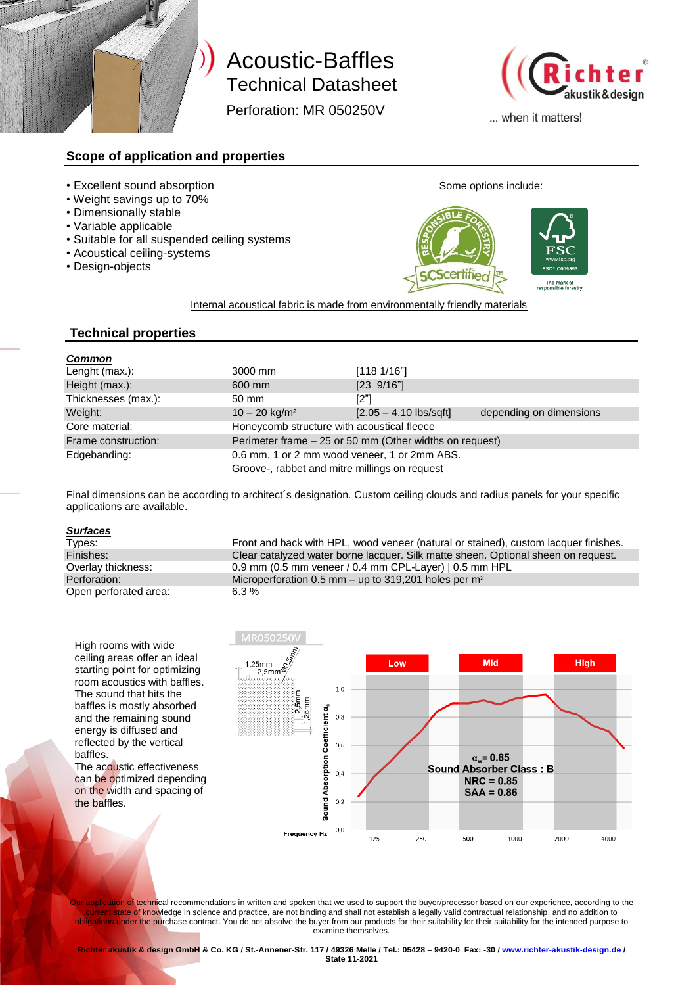

# Technical Datasheet Technical Datasheet Acoustic-Baffles

Perforation: MR 050250V Perforation: MR 050250V



... when it matters!

### **Scope of application and properties**

- Excellent sound absorption **Some options** include:
- Weight savings up to 70%
- Dimensionally stable
- Variable applicable
- Suitable for all suspended ceiling systems
- Acoustical ceiling-systems
- Design-objects



Internal acoustical fabric is made from environmentally friendly materials

### **Technical properties**

| <b>Common</b>       |                                                         |                         |                         |
|---------------------|---------------------------------------------------------|-------------------------|-------------------------|
| Lenght (max.):      | 3000 mm                                                 | [1181/16"]              |                         |
| Height (max.):      | 600 mm                                                  | $[23 \ 9/16"]$          |                         |
| Thicknesses (max.): | 50 mm                                                   | [2"]                    |                         |
| Weight:             | $10 - 20$ kg/m <sup>2</sup>                             | $[2.05 - 4.10$ lbs/sqft | depending on dimensions |
| Core material:      | Honeycomb structure with acoustical fleece              |                         |                         |
| Frame construction: | Perimeter frame - 25 or 50 mm (Other widths on request) |                         |                         |
| Edgebanding:        | 0.6 mm, 1 or 2 mm wood veneer, 1 or 2mm ABS.            |                         |                         |
|                     | Groove-, rabbet and mitre millings on request           |                         |                         |

Final dimensions can be according to architect´s designation. Custom ceiling clouds and radius panels for your specific applications are available.

## **Surfaces**<br>Types:

Open perforated area: 6.3 %

Front and back with HPL, wood veneer (natural or stained), custom lacquer finishes. Finishes: Clear catalyzed water borne lacquer. Silk matte sheen. Optional sheen on request. Overlay thickness: 0.9 mm (0.5 mm veneer / 0.4 mm CPL-Layer) | 0.5 mm HPL<br>Perforation: Microperforation 0.5 mm – up to 319.201 holes per m<sup>2</sup> Microperforation 0.5 mm – up to 319,201 holes per m<sup>2</sup>

High rooms with wide ceiling areas offer an ideal starting point for optimizing room acoustics with baffles. The sound that hits the baffles is mostly absorbed and the remaining sound energy is diffused and reflected by the vertical baffles.

The acoustic effectiveness can be optimized depending on the width and spacing of the baffles.



<mark>cation of</mark> tech<mark>ni</mark>cal recommendations in written and spoken that we used to support the buyer/processor based on our experience, according to the Irrent state of knowledge in science and practice, are not binding and shall not establish a legally valid contractual relationship, and no addition to obligations under the purchase contract. You do not absolve the buyer from our products for their suitability for their suitability for the intended purpose to examine themselves.